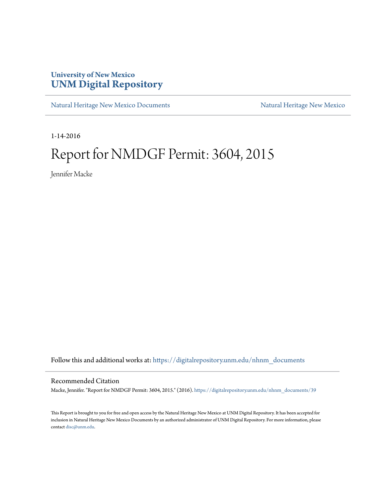### **University of New Mexico [UNM Digital Repository](https://digitalrepository.unm.edu?utm_source=digitalrepository.unm.edu%2Fnhnm_documents%2F39&utm_medium=PDF&utm_campaign=PDFCoverPages)**

[Natural Heritage New Mexico Documents](https://digitalrepository.unm.edu/nhnm_documents?utm_source=digitalrepository.unm.edu%2Fnhnm_documents%2F39&utm_medium=PDF&utm_campaign=PDFCoverPages) [Natural Heritage New Mexico](https://digitalrepository.unm.edu/nhnm?utm_source=digitalrepository.unm.edu%2Fnhnm_documents%2F39&utm_medium=PDF&utm_campaign=PDFCoverPages)

1-14-2016

# Report for NMDGF Permit: 3604, 2015

Jennifer Macke

Follow this and additional works at: [https://digitalrepository.unm.edu/nhnm\\_documents](https://digitalrepository.unm.edu/nhnm_documents?utm_source=digitalrepository.unm.edu%2Fnhnm_documents%2F39&utm_medium=PDF&utm_campaign=PDFCoverPages)

#### Recommended Citation

Macke, Jennifer. "Report for NMDGF Permit: 3604, 2015." (2016). [https://digitalrepository.unm.edu/nhnm\\_documents/39](https://digitalrepository.unm.edu/nhnm_documents/39?utm_source=digitalrepository.unm.edu%2Fnhnm_documents%2F39&utm_medium=PDF&utm_campaign=PDFCoverPages)

This Report is brought to you for free and open access by the Natural Heritage New Mexico at UNM Digital Repository. It has been accepted for inclusion in Natural Heritage New Mexico Documents by an authorized administrator of UNM Digital Repository. For more information, please contact [disc@unm.edu.](mailto:disc@unm.edu)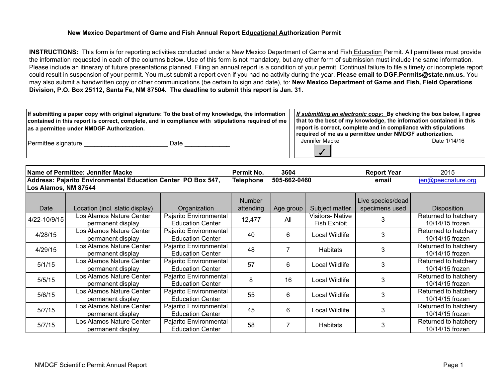#### **New Mexico Department of Game and Fish Annual Report Educational Authorization Permit**

**INSTRUCTIONS:** This form is for reporting activities conducted under a New Mexico Department of Game and Fish Education Permit. All permittees must provide the information requested in each of the columns below. Use of this form is not mandatory, but any other form of submission must include the same information. Please include an itinerary of future presentations planned. Filing an annual report is a condition of your permit. Continual failure to file a timely or incomplete report could result in suspension of your permit. You must submit a report even if you had no activity during the year. **Please email to DGF.Permits@state.nm.us.** You may also submit a handwritten copy or other communications (be certain to sign and date), to: **New Mexico Department of Game and Fish, Field Operations Division, P.O. Box 25112, Santa Fe, NM 87504. The deadline to submit this report is Jan. 31.**

|                                                                                                   | If submitting a paper copy with original signature: To the best of my knowledge, the information | <i>If submitting an electronic copy:</i> By checking the box below, I agree |                                                                     |              |  |  |
|---------------------------------------------------------------------------------------------------|--------------------------------------------------------------------------------------------------|-----------------------------------------------------------------------------|---------------------------------------------------------------------|--------------|--|--|
| contained in this report is correct, complete, and in compliance with stipulations required of me |                                                                                                  |                                                                             | that to the best of my knowledge, the information contained in this |              |  |  |
| as a permittee under NMDGF Authorization.                                                         |                                                                                                  |                                                                             | report is correct, complete and in compliance with stipulations     |              |  |  |
|                                                                                                   |                                                                                                  |                                                                             | required of me as a permittee under NMDGF authorization.            |              |  |  |
| Permittee signature                                                                               | Date                                                                                             |                                                                             | Jennifer Macke                                                      | Date 1/14/16 |  |  |

**Name of Permittee: Jennifer Macke Permit No. 3604 Report Year** 2015 **Telephone 505-662-0460 email** jen@peecnature.org **Address: Pajarito Environmental Education Center PO Box 547, Los Alamos, NM 87544**

✓

| Date         | Location (incl. static display)               | Organization                                      | <b>Number</b><br>attending | Age group | Subject matter                                | Live species/dead<br>specimens used | <b>Disposition</b>                      |
|--------------|-----------------------------------------------|---------------------------------------------------|----------------------------|-----------|-----------------------------------------------|-------------------------------------|-----------------------------------------|
| 4/22-10/9/15 | Los Alamos Nature Center<br>permanent display | Pajarito Environmental<br><b>Education Center</b> | 12,477                     | All       | <b>Visitors-Native</b><br><b>Fish Exhibit</b> |                                     | Returned to hatchery<br>10/14/15 frozen |
| 4/28/15      | Los Alamos Nature Center<br>permanent display | Pajarito Environmental<br><b>Education Center</b> | 40                         | 6         | Local Wildlife                                | 3                                   | Returned to hatchery<br>10/14/15 frozen |
| 4/29/15      | Los Alamos Nature Center<br>permanent display | Pajarito Environmental<br><b>Education Center</b> | 48                         |           | Habitats                                      |                                     | Returned to hatchery<br>10/14/15 frozen |
| 5/1/15       | Los Alamos Nature Center<br>permanent display | Pajarito Environmental<br><b>Education Center</b> | 57                         | 6         | Local Wildlife                                |                                     | Returned to hatchery<br>10/14/15 frozen |
| 5/5/15       | Los Alamos Nature Center<br>permanent display | Pajarito Environmental<br><b>Education Center</b> | 8                          | 16        | Local Wildlife                                |                                     | Returned to hatchery<br>10/14/15 frozen |
| 5/6/15       | Los Alamos Nature Center<br>permanent display | Pajarito Environmental<br><b>Education Center</b> | 55                         | 6         | Local Wildlife                                | 3                                   | Returned to hatchery<br>10/14/15 frozen |
| 5/7/15       | Los Alamos Nature Center<br>permanent display | Pajarito Environmental<br><b>Education Center</b> | 45                         | 6         | Local Wildlife                                | 3                                   | Returned to hatchery<br>10/14/15 frozen |
| 5/7/15       | Los Alamos Nature Center<br>permanent display | Pajarito Environmental<br><b>Education Center</b> | 58                         |           | <b>Habitats</b>                               | 3                                   | Returned to hatchery<br>10/14/15 frozen |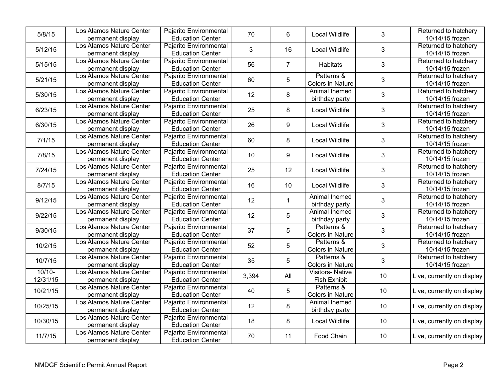| 5/8/15               | Los Alamos Nature Center<br>permanent display | Pajarito Environmental<br><b>Education Center</b> | 70    | 6              | Local Wildlife                                | $\mathfrak{S}$ | Returned to hatchery<br>10/14/15 frozen |
|----------------------|-----------------------------------------------|---------------------------------------------------|-------|----------------|-----------------------------------------------|----------------|-----------------------------------------|
| 5/12/15              | Los Alamos Nature Center<br>permanent display | Pajarito Environmental<br><b>Education Center</b> | 3     | 16             | <b>Local Wildlife</b>                         | 3              | Returned to hatchery<br>10/14/15 frozen |
| 5/15/15              | Los Alamos Nature Center<br>permanent display | Pajarito Environmental<br><b>Education Center</b> | 56    | $\overline{7}$ | Habitats                                      | $\sqrt{3}$     | Returned to hatchery<br>10/14/15 frozen |
| 5/21/15              | Los Alamos Nature Center<br>permanent display | Pajarito Environmental<br><b>Education Center</b> | 60    | 5              | Patterns &<br>Colors in Nature                | $\mathsf 3$    | Returned to hatchery<br>10/14/15 frozen |
| 5/30/15              | Los Alamos Nature Center<br>permanent display | Pajarito Environmental<br><b>Education Center</b> | 12    | 8              | Animal themed<br>birthday party               | $\mathfrak{S}$ | Returned to hatchery<br>10/14/15 frozen |
| 6/23/15              | Los Alamos Nature Center<br>permanent display | Pajarito Environmental<br><b>Education Center</b> | 25    | 8              | <b>Local Wildlife</b>                         | $\mathsf 3$    | Returned to hatchery<br>10/14/15 frozen |
| 6/30/15              | Los Alamos Nature Center<br>permanent display | Pajarito Environmental<br><b>Education Center</b> | 26    | 9              | <b>Local Wildlife</b>                         | $\mathfrak{S}$ | Returned to hatchery<br>10/14/15 frozen |
| 7/1/15               | Los Alamos Nature Center<br>permanent display | Pajarito Environmental<br><b>Education Center</b> | 60    | 8              | <b>Local Wildlife</b>                         | $\mathfrak{S}$ | Returned to hatchery<br>10/14/15 frozen |
| 7/8/15               | Los Alamos Nature Center<br>permanent display | Pajarito Environmental<br><b>Education Center</b> | 10    | 9              | Local Wildlife                                | $\sqrt{3}$     | Returned to hatchery<br>10/14/15 frozen |
| 7/24/15              | Los Alamos Nature Center<br>permanent display | Pajarito Environmental<br><b>Education Center</b> | 25    | 12             | Local Wildlife                                | $\mathfrak{S}$ | Returned to hatchery<br>10/14/15 frozen |
| 8/7/15               | Los Alamos Nature Center<br>permanent display | Pajarito Environmental<br><b>Education Center</b> | 16    | 10             | <b>Local Wildlife</b>                         | $\mathfrak{S}$ | Returned to hatchery<br>10/14/15 frozen |
| 9/12/15              | Los Alamos Nature Center<br>permanent display | Pajarito Environmental<br><b>Education Center</b> | 12    | $\mathbf{1}$   | Animal themed<br>birthday party               | $\mathfrak{S}$ | Returned to hatchery<br>10/14/15 frozen |
| 9/22/15              | Los Alamos Nature Center<br>permanent display | Pajarito Environmental<br><b>Education Center</b> | 12    | 5              | Animal themed<br>birthday party               | $\mathfrak{S}$ | Returned to hatchery<br>10/14/15 frozen |
| 9/30/15              | Los Alamos Nature Center<br>permanent display | Pajarito Environmental<br><b>Education Center</b> | 37    | 5              | Patterns &<br>Colors in Nature                | $\mathfrak{S}$ | Returned to hatchery<br>10/14/15 frozen |
| 10/2/15              | Los Alamos Nature Center<br>permanent display | Pajarito Environmental<br><b>Education Center</b> | 52    | 5              | Patterns &<br>Colors in Nature                | $\mathsf 3$    | Returned to hatchery<br>10/14/15 frozen |
| 10/7/15              | Los Alamos Nature Center<br>permanent display | Pajarito Environmental<br><b>Education Center</b> | 35    | 5              | Patterns &<br><b>Colors in Nature</b>         | $\mathfrak{S}$ | Returned to hatchery<br>10/14/15 frozen |
| $10/10-$<br>12/31/15 | Los Alamos Nature Center<br>permanent display | Pajarito Environmental<br><b>Education Center</b> | 3,394 | All            | <b>Visitors-Native</b><br><b>Fish Exhibit</b> | 10             | Live, currently on display              |
| 10/21/15             | Los Alamos Nature Center<br>permanent display | Pajarito Environmental<br><b>Education Center</b> | 40    | 5              | Patterns &<br><b>Colors in Nature</b>         | 10             | Live, currently on display              |
| 10/25/15             | Los Alamos Nature Center<br>permanent display | Pajarito Environmental<br><b>Education Center</b> | 12    | 8              | Animal themed<br>birthday party               | 10             | Live, currently on display              |
| 10/30/15             | Los Alamos Nature Center<br>permanent display | Pajarito Environmental<br><b>Education Center</b> | 18    | $\bf 8$        | Local Wildlife                                | 10             | Live, currently on display              |
| 11/7/15              | Los Alamos Nature Center<br>permanent display | Pajarito Environmental<br><b>Education Center</b> | 70    | 11             | Food Chain                                    | 10             | Live, currently on display              |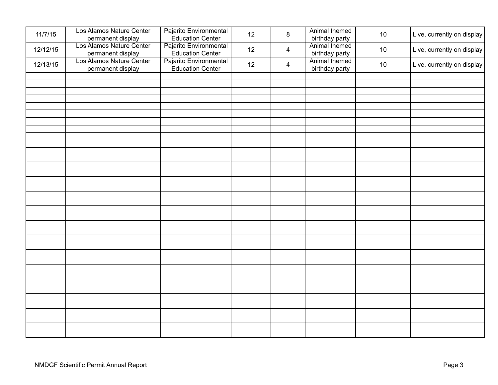| 11/7/15  | Los Alamos Nature Center<br>permanent display                      | Pajarito Environmental<br><b>Education Center</b>                     | 12 | $\bf 8$        | Animal themed<br>birthday party | 10 | Live, currently on display |
|----------|--------------------------------------------------------------------|-----------------------------------------------------------------------|----|----------------|---------------------------------|----|----------------------------|
| 12/12/15 | Los Alamos Nature Center                                           | Pajarito Environmental                                                | 12 | 4              | Animal themed<br>birthday party | 10 | Live, currently on display |
| 12/13/15 | permanent display<br>Los Alamos Nature Center<br>permanent display | Education Center<br>Pajarito Environmental<br><b>Education Center</b> | 12 | $\overline{4}$ | Animal themed<br>birthday party | 10 | Live, currently on display |
|          |                                                                    |                                                                       |    |                |                                 |    |                            |
|          |                                                                    |                                                                       |    |                |                                 |    |                            |
|          |                                                                    |                                                                       |    |                |                                 |    |                            |
|          |                                                                    |                                                                       |    |                |                                 |    |                            |
|          |                                                                    |                                                                       |    |                |                                 |    |                            |
|          |                                                                    |                                                                       |    |                |                                 |    |                            |
|          |                                                                    |                                                                       |    |                |                                 |    |                            |
|          |                                                                    |                                                                       |    |                |                                 |    |                            |
|          |                                                                    |                                                                       |    |                |                                 |    |                            |
|          |                                                                    |                                                                       |    |                |                                 |    |                            |
|          |                                                                    |                                                                       |    |                |                                 |    |                            |
|          |                                                                    |                                                                       |    |                |                                 |    |                            |
|          |                                                                    |                                                                       |    |                |                                 |    |                            |
|          |                                                                    |                                                                       |    |                |                                 |    |                            |
|          |                                                                    |                                                                       |    |                |                                 |    |                            |
|          |                                                                    |                                                                       |    |                |                                 |    |                            |
|          |                                                                    |                                                                       |    |                |                                 |    |                            |
|          |                                                                    |                                                                       |    |                |                                 |    |                            |
|          |                                                                    |                                                                       |    |                |                                 |    |                            |
|          |                                                                    |                                                                       |    |                |                                 |    |                            |
|          |                                                                    |                                                                       |    |                |                                 |    |                            |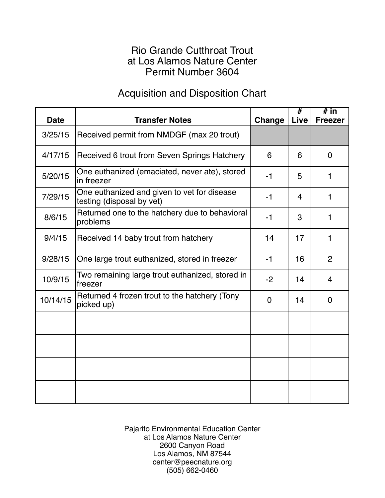### Rio Grande Cutthroat Trout at Los Alamos Nature Center Permit Number 3604

## Acquisition and Disposition Chart

| <b>Date</b> | <b>Transfer Notes</b>                                                    | Change         | $\overline{\#}$<br>Live | $#$ in<br><b>Freezer</b> |
|-------------|--------------------------------------------------------------------------|----------------|-------------------------|--------------------------|
| 3/25/15     | Received permit from NMDGF (max 20 trout)                                |                |                         |                          |
| 4/17/15     | Received 6 trout from Seven Springs Hatchery                             | 6              | 6                       | $\Omega$                 |
| 5/20/15     | One euthanized (emaciated, never ate), stored<br>in freezer              | $-1$           | 5                       | 1                        |
| 7/29/15     | One euthanized and given to vet for disease<br>testing (disposal by vet) | $-1$           | $\overline{4}$          | 1                        |
| 8/6/15      | Returned one to the hatchery due to behavioral<br>problems               | $-1$           | 3                       | 1                        |
| 9/4/15      | Received 14 baby trout from hatchery                                     | 14             | 17                      | 1                        |
| 9/28/15     | One large trout euthanized, stored in freezer                            | $-1$           | 16                      | 2                        |
| 10/9/15     | Two remaining large trout euthanized, stored in<br>freezer               | $-2$           | 14                      | $\overline{4}$           |
| 10/14/15    | Returned 4 frozen trout to the hatchery (Tony<br>picked up)              | $\overline{0}$ | 14                      | $\overline{0}$           |
|             |                                                                          |                |                         |                          |
|             |                                                                          |                |                         |                          |
|             |                                                                          |                |                         |                          |
|             |                                                                          |                |                         |                          |

Pajarito Environmental Education Center at Los Alamos Nature Center 2600 Canyon Road Los Alamos, NM 87544 center@peecnature.org (505) 662-0460